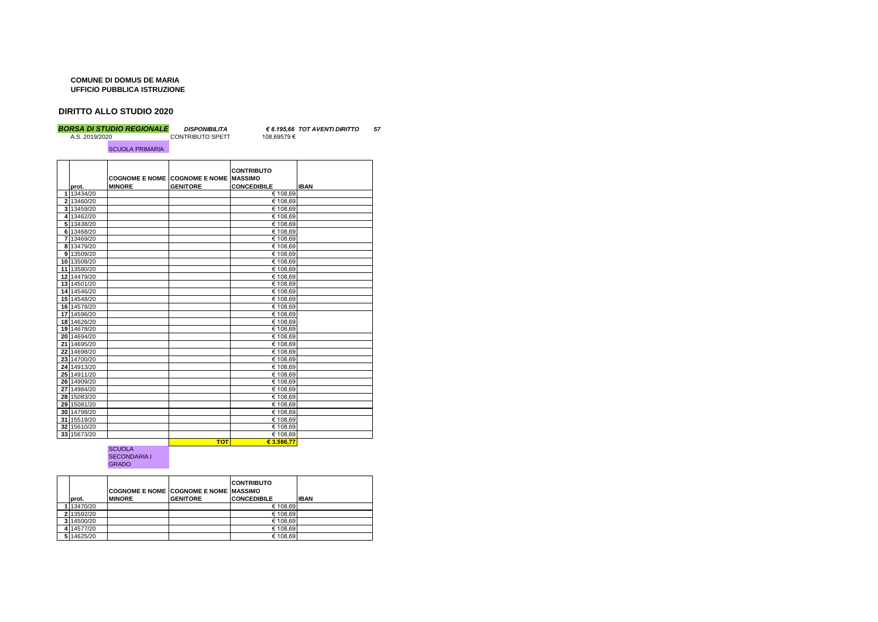## **COMUNE DI DOMUS DE MARIA UFFICIO PUBBLICA ISTRUZIONE**

## **DIRITTO ALLO STUDIO 2020**

*BORSA DI STUDIO REGIONALE DISPONIBILITA € 6.195,66 TOT AVENTI DIRITTO 57*

SCUOLA PRIMARIA

| <b>CONTRIBUTO SPETT</b> | 108.69579€ |
|-------------------------|------------|
|                         |            |

| prot.       | <b>MINORE</b> | <b>COGNOME E NOME COGNOME E NOME</b><br><b>GENITORE</b> | <b>CONTRIBUTO</b><br><b>MASSIMO</b><br><b>CONCEDIBILE</b> | <b>IBAN</b> |
|-------------|---------------|---------------------------------------------------------|-----------------------------------------------------------|-------------|
| 1 13434/20  |               |                                                         | € 108,69                                                  |             |
| 2 13460/20  |               |                                                         | € 108,69                                                  |             |
| 3 13459/20  |               |                                                         | € 108,69                                                  |             |
| 4 13462/20  |               |                                                         | € 108,69                                                  |             |
| 5 13438/20  |               |                                                         | € 108,69                                                  |             |
| 6 13468/20  |               |                                                         | € 108,69                                                  |             |
| 7 13469/20  |               |                                                         | € 108,69                                                  |             |
| 8 13479/20  |               |                                                         | € 108,69                                                  |             |
| 9 13509/20  |               |                                                         | € 108,69                                                  |             |
| 10 13508/20 |               |                                                         | € 108,69                                                  |             |
| 11 13580/20 |               |                                                         | € 108,69                                                  |             |
| 12 14479/20 |               |                                                         | € 108,69                                                  |             |
| 13 14501/20 |               |                                                         | € 108,69                                                  |             |
| 14 14546/20 |               |                                                         | € 108,69                                                  |             |
| 15 14548/20 |               |                                                         | € 108,69                                                  |             |
| 16 14578/20 |               |                                                         | € 108,69                                                  |             |
| 17 14596/20 |               |                                                         | € 108,69                                                  |             |
| 18 14626/20 |               |                                                         | € 108,69                                                  |             |
| 19 14678/20 |               |                                                         | € 108,69                                                  |             |
| 20 14694/20 |               |                                                         | € 108,69                                                  |             |
| 21 14695/20 |               |                                                         | € 108,69                                                  |             |
| 22 14698/20 |               |                                                         | € 108,69                                                  |             |
| 23 14700/20 |               |                                                         | € 108.69                                                  |             |
| 24 14913/20 |               |                                                         | € 108,69                                                  |             |
| 25 14911/20 |               |                                                         | € 108,69                                                  |             |
| 26 14909/20 |               |                                                         | € 108,69                                                  |             |
| 27 14984/20 |               |                                                         | € 108,69                                                  |             |
| 28 15083/20 |               |                                                         | € 108,69                                                  |             |
| 29 15081/20 |               |                                                         | € 108,69                                                  |             |
| 30 14798/20 |               |                                                         | € 108,69                                                  |             |
| 31 15519/20 |               |                                                         | € 108,69                                                  |             |
| 32 15610/20 |               |                                                         | € 108,69                                                  |             |
| 33 15673/20 |               |                                                         | € 108,69                                                  |             |
|             |               | <b>TOT</b>                                              | € 3.586.77                                                |             |

## SCUOLA SECONDARIA I GRADO

|   | prot.    | <b>MINORE</b> | <b>COGNOME E NOME COGNOME E NOME IMASSIMO</b><br><b>GENITORE</b> | <b>CONTRIBUTO</b><br><b>CONCEDIBILE</b> | <b>IBAN</b> |
|---|----------|---------------|------------------------------------------------------------------|-----------------------------------------|-------------|
|   | 13470/20 |               |                                                                  | € 108,69                                |             |
|   | 13592/20 |               |                                                                  | € 108,69                                |             |
| 3 | 14500/20 |               |                                                                  | € 108,69                                |             |
|   | 14577/20 |               |                                                                  | € 108,69                                |             |
|   | 14625/20 |               |                                                                  | € 108,69                                |             |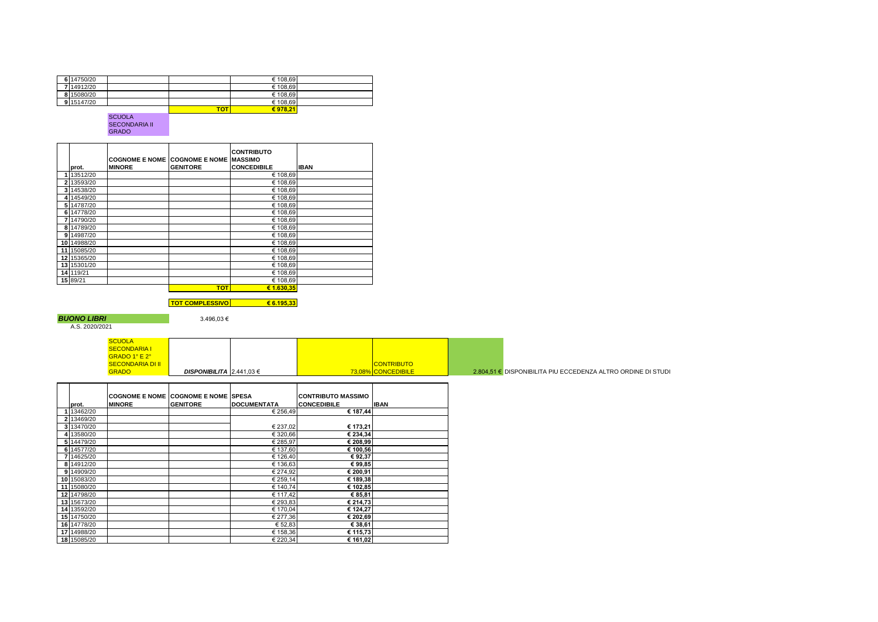| 6 14750/20 |            | € 108,69 |  |
|------------|------------|----------|--|
| 7 14912/20 |            | € 108,69 |  |
| 8 15080/20 |            | € 108,69 |  |
| 9 15147/20 |            | € 108,69 |  |
|            | <b>TOT</b> | € 978.21 |  |

SCUOLA SECONDARIA II GRADO

|    |             |                       |                                | <b>CONTRIBUTO</b>  |             |
|----|-------------|-----------------------|--------------------------------|--------------------|-------------|
|    |             | <b>COGNOME E NOME</b> | <b>COGNOME E NOME IMASSIMO</b> |                    |             |
|    | prot.       | <b>MINORE</b>         | <b>GENITORE</b>                | <b>CONCEDIBILE</b> | <b>IBAN</b> |
|    | 1 13512/20  |                       |                                | € 108,69           |             |
|    | 2 13593/20  |                       |                                | € 108,69           |             |
| 31 | 14538/20    |                       |                                | € 108,69           |             |
|    | 4 14549/20  |                       |                                | € 108,69           |             |
| 51 | 14787/20    |                       |                                | € 108,69           |             |
|    | 6 14778/20  |                       |                                | € 108,69           |             |
|    | 14790/20    |                       |                                | € 108,69           |             |
|    | 8 14789/20  |                       |                                | € 108,69           |             |
|    | 9 14987/20  |                       |                                | € 108,69           |             |
|    | 10 14988/20 |                       |                                | € 108,69           |             |
|    | 11 15085/20 |                       |                                | € 108,69           |             |
|    | 12 15365/20 |                       |                                | € 108,69           |             |
|    | 13 15301/20 |                       |                                | € 108,69           |             |
|    | 14 119/21   |                       |                                | € 108,69           |             |
|    | 15 89/21    |                       |                                | € 108,69           |             |
|    |             |                       | <b>TOT</b>                     | € 1.630.35         |             |
|    |             |                       |                                |                    |             |

**TOT COMPLESSIVO € 6.195,33**

**BUONO LIBRI** 3.496,03 €<br>A.S. 2020/2021

| <b>SCUOLA</b>           |                                 |  |                    |                                                             |
|-------------------------|---------------------------------|--|--------------------|-------------------------------------------------------------|
| <b>SECONDARIA I</b>     |                                 |  |                    |                                                             |
| GRADO 1° E 2°           |                                 |  |                    |                                                             |
| <b>SECONDARIA DI II</b> |                                 |  | <b>CONTRIBUTO</b>  |                                                             |
| <b>GRADO</b>            | <b>DISPONIBILITA</b> 2.441,03 € |  | 73.08% CONCEDIBILE | 2.804,51 € DISPONIBILITA PIU ECCEDENZA ALTRO ORDINE DI STUD |

|             | <b>COGNOME E NOME</b> | <b>COGNOME E NOME</b> | <b>SPESA</b>       | <b>CONTRIBUTO MASSIMO</b> |             |
|-------------|-----------------------|-----------------------|--------------------|---------------------------|-------------|
| prot.       | <b>MINORE</b>         | <b>GENITORE</b>       | <b>DOCUMENTATA</b> | <b>CONCEDIBILE</b>        | <b>IBAN</b> |
| 1 13462/20  |                       |                       | € 256,49           | € 187,44                  |             |
| 2 13469/20  |                       |                       |                    |                           |             |
| 3 13470/20  |                       |                       | € 237,02           | € 173,21                  |             |
| 4 13580/20  |                       |                       | € 320,66           | € 234,34                  |             |
| 5 14479/20  |                       |                       | € 285,97           | € 208,99                  |             |
| 6 14577/20  |                       |                       | € 137,60           | € 100,56                  |             |
| 7 14625/20  |                       |                       | € 126,40           | €92,37                    |             |
| 8 14912/20  |                       |                       | € 136,63           | €99,85                    |             |
| 9 14909/20  |                       |                       | € 274,92           | € 200,91                  |             |
| 10 15083/20 |                       |                       | € 259,14           | € 189,38                  |             |
| 11 15080/20 |                       |                       | € 140,74           | € 102,85                  |             |
| 12 14798/20 |                       |                       | € 117,42           | € 85,81                   |             |
| 13 15673/20 |                       |                       | € 293,83           | € 214,73                  |             |
| 14 13592/20 |                       |                       | € 170,04           | € 124,27                  |             |
| 15 14750/20 |                       |                       | € 277,36           | € 202,69                  |             |
| 16 14778/20 |                       |                       | € 52,83            | € 38,61                   |             |
| 17 14988/20 |                       |                       | € 158,36           | € 115,73                  |             |
| 18 15085/20 |                       |                       | € 220,34           | € 161,02                  |             |